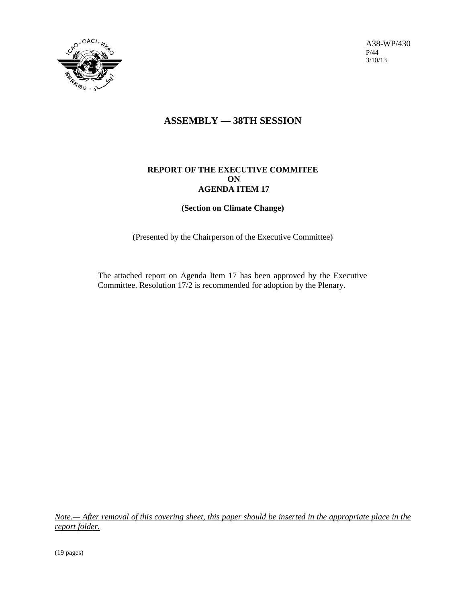

A38-WP/430 P/44 3/10/13

# **ASSEMBLY — 38TH SESSION**

# **REPORT OF THE EXECUTIVE COMMITEE ON AGENDA ITEM 17**

# **(Section on Climate Change)**

(Presented by the Chairperson of the Executive Committee)

The attached report on Agenda Item 17 has been approved by the Executive Committee. Resolution 17/2 is recommended for adoption by the Plenary.

*Note.— After removal of this covering sheet, this paper should be inserted in the appropriate place in the report folder.*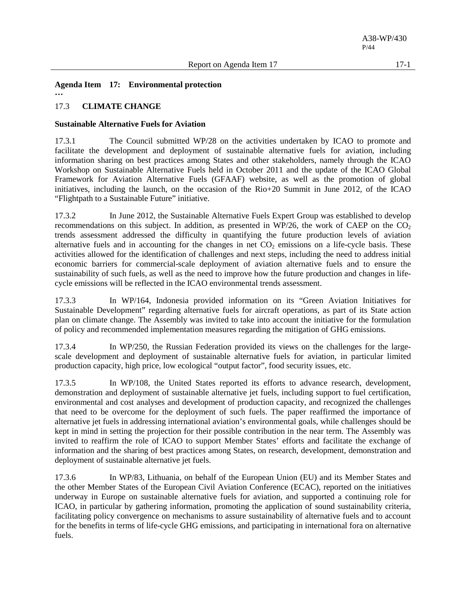**Agenda Item 17: Environmental protection …**

# 17.3 **CLIMATE CHANGE**

# **Sustainable Alternative Fuels for Aviation**

17.3.1 The Council submitted WP/28 on the activities undertaken by ICAO to promote and facilitate the development and deployment of sustainable alternative fuels for aviation, including information sharing on best practices among States and other stakeholders, namely through the ICAO Workshop on Sustainable Alternative Fuels held in October 2011 and the update of the ICAO Global Framework for Aviation Alternative Fuels (GFAAF) website, as well as the promotion of global initiatives, including the launch, on the occasion of the Rio+20 Summit in June 2012, of the ICAO "Flightpath to a Sustainable Future" initiative.

17.3.2 In June 2012, the Sustainable Alternative Fuels Expert Group was established to develop recommendations on this subject. In addition, as presented in WP/26, the work of CAEP on the  $CO<sub>2</sub>$ trends assessment addressed the difficulty in quantifying the future production levels of aviation alternative fuels and in accounting for the changes in net  $CO<sub>2</sub>$  emissions on a life-cycle basis. These activities allowed for the identification of challenges and next steps, including the need to address initial economic barriers for commercial-scale deployment of aviation alternative fuels and to ensure the sustainability of such fuels, as well as the need to improve how the future production and changes in lifecycle emissions will be reflected in the ICAO environmental trends assessment.

17.3.3 In WP/164, Indonesia provided information on its "Green Aviation Initiatives for Sustainable Development" regarding alternative fuels for aircraft operations, as part of its State action plan on climate change. The Assembly was invited to take into account the initiative for the formulation of policy and recommended implementation measures regarding the mitigation of GHG emissions.

17.3.4 In WP/250, the Russian Federation provided its views on the challenges for the largescale development and deployment of sustainable alternative fuels for aviation, in particular limited production capacity, high price, low ecological "output factor", food security issues, etc.

17.3.5 In WP/108, the United States reported its efforts to advance research, development, demonstration and deployment of sustainable alternative jet fuels, including support to fuel certification, environmental and cost analyses and development of production capacity, and recognized the challenges that need to be overcome for the deployment of such fuels. The paper reaffirmed the importance of alternative jet fuels in addressing international aviation's environmental goals, while challenges should be kept in mind in setting the projection for their possible contribution in the near term. The Assembly was invited to reaffirm the role of ICAO to support Member States' efforts and facilitate the exchange of information and the sharing of best practices among States, on research, development, demonstration and deployment of sustainable alternative jet fuels.

17.3.6 In WP/83, Lithuania, on behalf of the European Union (EU) and its Member States and the other Member States of the European Civil Aviation Conference (ECAC), reported on the initiatives underway in Europe on sustainable alternative fuels for aviation, and supported a continuing role for ICAO, in particular by gathering information, promoting the application of sound sustainability criteria, facilitating policy convergence on mechanisms to assure sustainability of alternative fuels and to account for the benefits in terms of life-cycle GHG emissions, and participating in international fora on alternative fuels.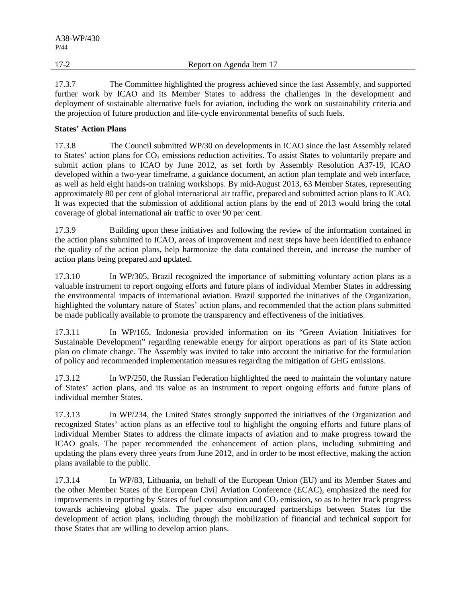17.3.7 The Committee highlighted the progress achieved since the last Assembly, and supported further work by ICAO and its Member States to address the challenges in the development and deployment of sustainable alternative fuels for aviation, including the work on sustainability criteria and the projection of future production and life-cycle environmental benefits of such fuels.

# **States' Action Plans**

17.3.8 The Council submitted WP/30 on developments in ICAO since the last Assembly related to States' action plans for  $CO<sub>2</sub>$  emissions reduction activities. To assist States to voluntarily prepare and submit action plans to ICAO by June 2012, as set forth by Assembly Resolution A37-19, ICAO developed within a two-year timeframe, a guidance document, an action plan template and web interface, as well as held eight hands-on training workshops. By mid-August 2013, 63 Member States, representing approximately 80 per cent of global international air traffic, prepared and submitted action plans to ICAO. It was expected that the submission of additional action plans by the end of 2013 would bring the total coverage of global international air traffic to over 90 per cent.

17.3.9 Building upon these initiatives and following the review of the information contained in the action plans submitted to ICAO, areas of improvement and next steps have been identified to enhance the quality of the action plans, help harmonize the data contained therein, and increase the number of action plans being prepared and updated.

17.3.10 In WP/305, Brazil recognized the importance of submitting voluntary action plans as a valuable instrument to report ongoing efforts and future plans of individual Member States in addressing the environmental impacts of international aviation. Brazil supported the initiatives of the Organization, highlighted the voluntary nature of States' action plans, and recommended that the action plans submitted be made publically available to promote the transparency and effectiveness of the initiatives.

17.3.11 In WP/165, Indonesia provided information on its "Green Aviation Initiatives for Sustainable Development" regarding renewable energy for airport operations as part of its State action plan on climate change. The Assembly was invited to take into account the initiative for the formulation of policy and recommended implementation measures regarding the mitigation of GHG emissions.

17.3.12 In WP/250, the Russian Federation highlighted the need to maintain the voluntary nature of States' action plans, and its value as an instrument to report ongoing efforts and future plans of individual member States.

17.3.13 In WP/234, the United States strongly supported the initiatives of the Organization and recognized States' action plans as an effective tool to highlight the ongoing efforts and future plans of individual Member States to address the climate impacts of aviation and to make progress toward the ICAO goals. The paper recommended the enhancement of action plans, including submitting and updating the plans every three years from June 2012, and in order to be most effective, making the action plans available to the public.

17.3.14 In WP/83, Lithuania, on behalf of the European Union (EU) and its Member States and the other Member States of the European Civil Aviation Conference (ECAC), emphasized the need for improvements in reporting by States of fuel consumption and  $CO<sub>2</sub>$  emission, so as to better track progress towards achieving global goals. The paper also encouraged partnerships between States for the development of action plans, including through the mobilization of financial and technical support for those States that are willing to develop action plans.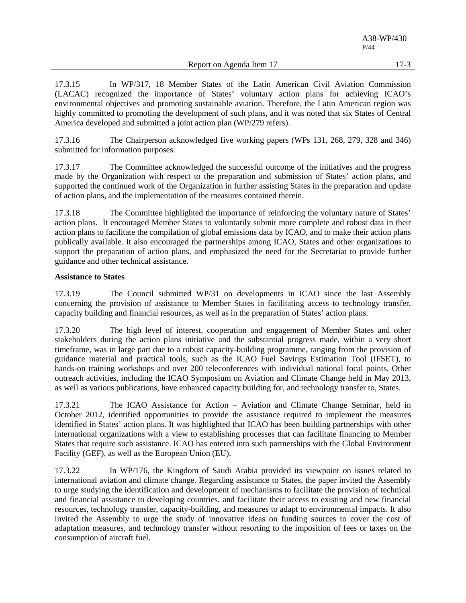Report on Agenda Item 17 17-3

17.3.15 In WP/317, 18 Member States of the Latin American Civil Aviation Commission (LACAC) recognized the importance of States' voluntary action plans for achieving ICAO's environmental objectives and promoting sustainable aviation. Therefore, the Latin American region was highly committed to promoting the development of such plans, and it was noted that six States of Central America developed and submitted a joint action plan (WP/279 refers).

17.3.16 The Chairperson acknowledged five working papers (WPs 131, 268, 279, 328 and 346) submitted for information purposes.

17.3.17 The Committee acknowledged the successful outcome of the initiatives and the progress made by the Organization with respect to the preparation and submission of States' action plans, and supported the continued work of the Organization in further assisting States in the preparation and update of action plans, and the implementation of the measures contained therein.

17.3.18 The Committee highlighted the importance of reinforcing the voluntary nature of States' action plans. It encouraged Member States to voluntarily submit more complete and robust data in their action plans to facilitate the compilation of global emissions data by ICAO, and to make their action plans publically available. It also encouraged the partnerships among ICAO, States and other organizations to support the preparation of action plans, and emphasized the need for the Secretariat to provide further guidance and other technical assistance.

### **Assistance to States**

17.3.19 The Council submitted WP/31 on developments in ICAO since the last Assembly concerning the provision of assistance to Member States in facilitating access to technology transfer, capacity building and financial resources, as well as in the preparation of States' action plans.

17.3.20 The high level of interest, cooperation and engagement of Member States and other stakeholders during the action plans initiative and the substantial progress made, within a very short timeframe, was in large part due to a robust capacity-building programme, ranging from the provision of guidance material and practical tools, such as the ICAO Fuel Savings Estimation Tool (IFSET), to hands-on training workshops and over 200 teleconferences with individual national focal points. Other outreach activities, including the ICAO Symposium on Aviation and Climate Change held in May 2013, as well as various publications, have enhanced capacity building for, and technology transfer to, States.

17.3.21 The ICAO Assistance for Action – Aviation and Climate Change Seminar, held in October 2012, identified opportunities to provide the assistance required to implement the measures identified in States' action plans. It was highlighted that ICAO has been building partnerships with other international organizations with a view to establishing processes that can facilitate financing to Member States that require such assistance. ICAO has entered into such partnerships with the Global Environment Facility (GEF), as well as the European Union (EU).

17.3.22 In WP/176, the Kingdom of Saudi Arabia provided its viewpoint on issues related to international aviation and climate change. Regarding assistance to States, the paper invited the Assembly to urge studying the identification and development of mechanisms to facilitate the provision of technical and financial assistance to developing countries, and facilitate their access to existing and new financial resources, technology transfer, capacity-building, and measures to adapt to environmental impacts. It also invited the Assembly to urge the study of innovative ideas on funding sources to cover the cost of adaptation measures, and technology transfer without resorting to the imposition of fees or taxes on the consumption of aircraft fuel.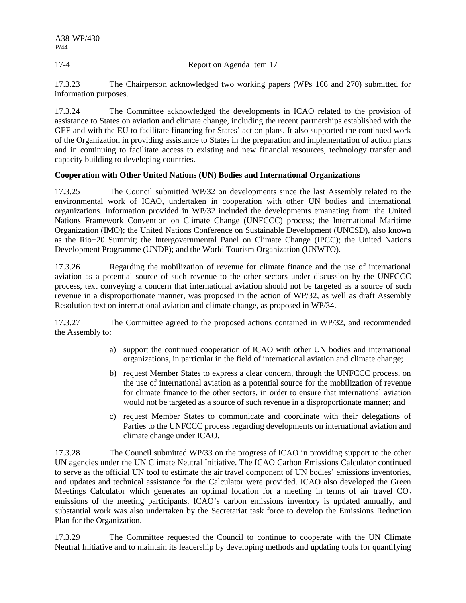17-4 Report on Agenda Item 17

17.3.23 The Chairperson acknowledged two working papers (WPs 166 and 270) submitted for information purposes.

17.3.24 The Committee acknowledged the developments in ICAO related to the provision of assistance to States on aviation and climate change, including the recent partnerships established with the GEF and with the EU to facilitate financing for States' action plans. It also supported the continued work of the Organization in providing assistance to States in the preparation and implementation of action plans and in continuing to facilitate access to existing and new financial resources, technology transfer and capacity building to developing countries.

## **Cooperation with Other United Nations (UN) Bodies and International Organizations**

17.3.25 The Council submitted WP/32 on developments since the last Assembly related to the environmental work of ICAO, undertaken in cooperation with other UN bodies and international organizations. Information provided in WP/32 included the developments emanating from: the United Nations Framework Convention on Climate Change (UNFCCC) process; the International Maritime Organization (IMO); the United Nations Conference on Sustainable Development (UNCSD), also known as the Rio+20 Summit; the Intergovernmental Panel on Climate Change (IPCC); the United Nations Development Programme (UNDP); and the World Tourism Organization (UNWTO).

17.3.26 Regarding the mobilization of revenue for climate finance and the use of international aviation as a potential source of such revenue to the other sectors under discussion by the UNFCCC process, text conveying a concern that international aviation should not be targeted as a source of such revenue in a disproportionate manner, was proposed in the action of WP/32, as well as draft Assembly Resolution text on international aviation and climate change, as proposed in WP/34.

17.3.27 The Committee agreed to the proposed actions contained in WP/32, and recommended the Assembly to:

- a) support the continued cooperation of ICAO with other UN bodies and international organizations, in particular in the field of international aviation and climate change;
- b) request Member States to express a clear concern, through the UNFCCC process, on the use of international aviation as a potential source for the mobilization of revenue for climate finance to the other sectors, in order to ensure that international aviation would not be targeted as a source of such revenue in a disproportionate manner; and
- c) request Member States to communicate and coordinate with their delegations of Parties to the UNFCCC process regarding developments on international aviation and climate change under ICAO.

17.3.28 The Council submitted WP/33 on the progress of ICAO in providing support to the other UN agencies under the UN Climate Neutral Initiative. The ICAO Carbon Emissions Calculator continued to serve as the official UN tool to estimate the air travel component of UN bodies' emissions inventories, and updates and technical assistance for the Calculator were provided. ICAO also developed the Green Meetings Calculator which generates an optimal location for a meeting in terms of air travel  $CO<sub>2</sub>$ emissions of the meeting participants. ICAO's carbon emissions inventory is updated annually, and substantial work was also undertaken by the Secretariat task force to develop the Emissions Reduction Plan for the Organization.

17.3.29 The Committee requested the Council to continue to cooperate with the UN Climate Neutral Initiative and to maintain its leadership by developing methods and updating tools for quantifying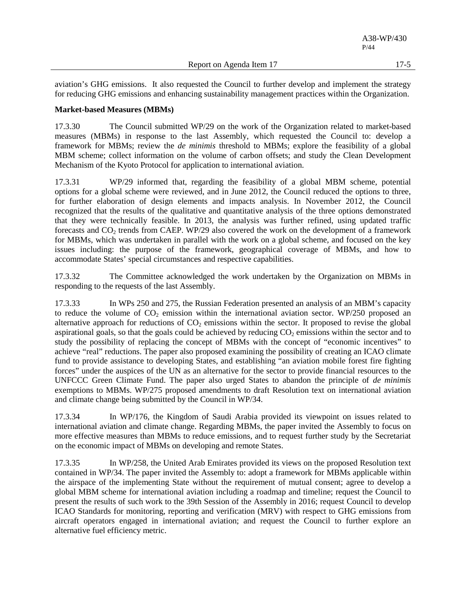aviation's GHG emissions. It also requested the Council to further develop and implement the strategy for reducing GHG emissions and enhancing sustainability management practices within the Organization.

### **Market-based Measures (MBMs)**

17.3.30 The Council submitted WP/29 on the work of the Organization related to market-based measures (MBMs) in response to the last Assembly, which requested the Council to: develop a framework for MBMs; review the *de minimis* threshold to MBMs; explore the feasibility of a global MBM scheme; collect information on the volume of carbon offsets; and study the Clean Development Mechanism of the Kyoto Protocol for application to international aviation.

17.3.31 WP/29 informed that, regarding the feasibility of a global MBM scheme, potential options for a global scheme were reviewed, and in June 2012, the Council reduced the options to three, for further elaboration of design elements and impacts analysis. In November 2012, the Council recognized that the results of the qualitative and quantitative analysis of the three options demonstrated that they were technically feasible. In 2013, the analysis was further refined, using updated traffic forecasts and  $CO<sub>2</sub>$  trends from CAEP. WP/29 also covered the work on the development of a framework for MBMs, which was undertaken in parallel with the work on a global scheme, and focused on the key issues including: the purpose of the framework, geographical coverage of MBMs, and how to accommodate States' special circumstances and respective capabilities.

17.3.32 The Committee acknowledged the work undertaken by the Organization on MBMs in responding to the requests of the last Assembly.

17.3.33 In WPs 250 and 275, the Russian Federation presented an analysis of an MBM's capacity to reduce the volume of  $CO<sub>2</sub>$  emission within the international aviation sector. WP/250 proposed an alternative approach for reductions of  $CO<sub>2</sub>$  emissions within the sector. It proposed to revise the global aspirational goals, so that the goals could be achieved by reducing  $CO<sub>2</sub>$  emissions within the sector and to study the possibility of replacing the concept of MBMs with the concept of "economic incentives" to achieve "real" reductions. The paper also proposed examining the possibility of creating an ICAO climate fund to provide assistance to developing States, and establishing "an aviation mobile forest fire fighting forces" under the auspices of the UN as an alternative for the sector to provide financial resources to the UNFCCC Green Climate Fund. The paper also urged States to abandon the principle of *de minimis* exemptions to MBMs. WP/275 proposed amendments to draft Resolution text on international aviation and climate change being submitted by the Council in WP/34.

17.3.34 In WP/176, the Kingdom of Saudi Arabia provided its viewpoint on issues related to international aviation and climate change. Regarding MBMs, the paper invited the Assembly to focus on more effective measures than MBMs to reduce emissions, and to request further study by the Secretariat on the economic impact of MBMs on developing and remote States.

17.3.35 In WP/258, the United Arab Emirates provided its views on the proposed Resolution text contained in WP/34. The paper invited the Assembly to: adopt a framework for MBMs applicable within the airspace of the implementing State without the requirement of mutual consent; agree to develop a global MBM scheme for international aviation including a roadmap and timeline; request the Council to present the results of such work to the 39th Session of the Assembly in 2016; request Council to develop ICAO Standards for monitoring, reporting and verification (MRV) with respect to GHG emissions from aircraft operators engaged in international aviation; and request the Council to further explore an alternative fuel efficiency metric.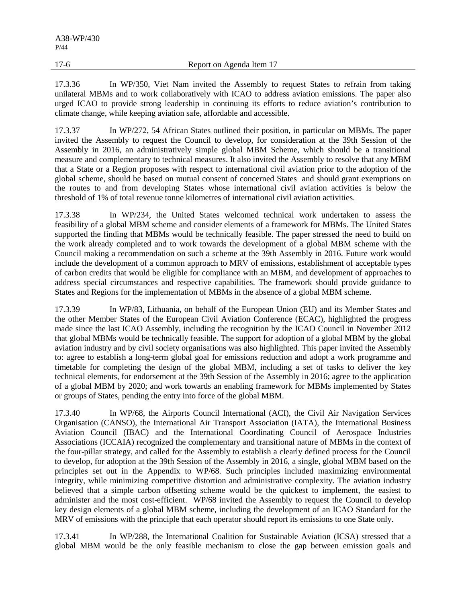17.3.36 In WP/350, Viet Nam invited the Assembly to request States to refrain from taking unilateral MBMs and to work collaboratively with ICAO to address aviation emissions. The paper also urged ICAO to provide strong leadership in continuing its efforts to reduce aviation's contribution to climate change, while keeping aviation safe, affordable and accessible.

17.3.37 In WP/272, 54 African States outlined their position, in particular on MBMs. The paper invited the Assembly to request the Council to develop, for consideration at the 39th Session of the Assembly in 2016, an administratively simple global MBM Scheme, which should be a transitional measure and complementary to technical measures. It also invited the Assembly to resolve that any MBM that a State or a Region proposes with respect to international civil aviation prior to the adoption of the global scheme, should be based on mutual consent of concerned States and should grant exemptions on the routes to and from developing States whose international civil aviation activities is below the threshold of 1% of total revenue tonne kilometres of international civil aviation activities.

17.3.38 In WP/234, the United States welcomed technical work undertaken to assess the feasibility of a global MBM scheme and consider elements of a framework for MBMs. The United States supported the finding that MBMs would be technically feasible. The paper stressed the need to build on the work already completed and to work towards the development of a global MBM scheme with the Council making a recommendation on such a scheme at the 39th Assembly in 2016. Future work would include the development of a common approach to MRV of emissions, establishment of acceptable types of carbon credits that would be eligible for compliance with an MBM, and development of approaches to address special circumstances and respective capabilities. The framework should provide guidance to States and Regions for the implementation of MBMs in the absence of a global MBM scheme.

17.3.39 In WP/83, Lithuania, on behalf of the European Union (EU) and its Member States and the other Member States of the European Civil Aviation Conference (ECAC), highlighted the progress made since the last ICAO Assembly, including the recognition by the ICAO Council in November 2012 that global MBMs would be technically feasible. The support for adoption of a global MBM by the global aviation industry and by civil society organisations was also highlighted. This paper invited the Assembly to: agree to establish a long-term global goal for emissions reduction and adopt a work programme and timetable for completing the design of the global MBM, including a set of tasks to deliver the key technical elements, for endorsement at the 39th Session of the Assembly in 2016; agree to the application of a global MBM by 2020; and work towards an enabling framework for MBMs implemented by States or groups of States, pending the entry into force of the global MBM.

17.3.40 In WP/68, the Airports Council International (ACI), the Civil Air Navigation Services Organisation (CANSO), the International Air Transport Association (IATA), the International Business Aviation Council (IBAC) and the International Coordinating Council of Aerospace Industries Associations (ICCAIA) recognized the complementary and transitional nature of MBMs in the context of the four-pillar strategy, and called for the Assembly to establish a clearly defined process for the Council to develop, for adoption at the 39th Session of the Assembly in 2016, a single, global MBM based on the principles set out in the Appendix to WP/68. Such principles included maximizing environmental integrity, while minimizing competitive distortion and administrative complexity. The aviation industry believed that a simple carbon offsetting scheme would be the quickest to implement, the easiest to administer and the most cost-efficient. WP/68 invited the Assembly to request the Council to develop key design elements of a global MBM scheme, including the development of an ICAO Standard for the MRV of emissions with the principle that each operator should report its emissions to one State only.

17.3.41 In WP/288, the International Coalition for Sustainable Aviation (ICSA) stressed that a global MBM would be the only feasible mechanism to close the gap between emission goals and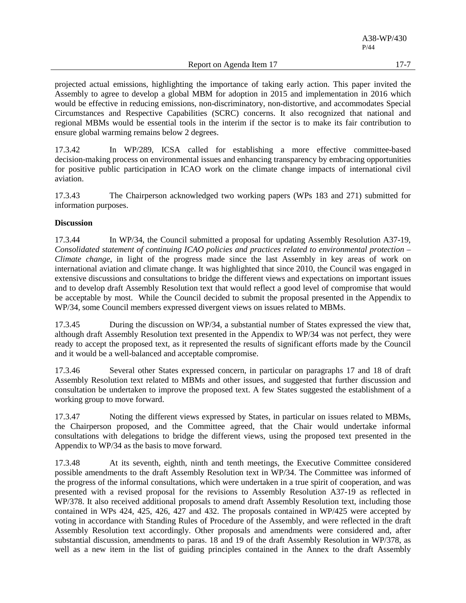A38-WP/430 P/44

Report on Agenda Item 17 17-7

projected actual emissions, highlighting the importance of taking early action. This paper invited the Assembly to agree to develop a global MBM for adoption in 2015 and implementation in 2016 which would be effective in reducing emissions, non-discriminatory, non-distortive, and accommodates Special Circumstances and Respective Capabilities (SCRC) concerns. It also recognized that national and regional MBMs would be essential tools in the interim if the sector is to make its fair contribution to ensure global warming remains below 2 degrees.

17.3.42 In WP/289, ICSA called for establishing a more effective committee-based decision-making process on environmental issues and enhancing transparency by embracing opportunities for positive public participation in ICAO work on the climate change impacts of international civil aviation.

17.3.43 The Chairperson acknowledged two working papers (WPs 183 and 271) submitted for information purposes.

### **Discussion**

17.3.44 In WP/34, the Council submitted a proposal for updating Assembly Resolution A37-19, *Consolidated statement of continuing ICAO policies and practices related to environmental protection – Climate change*, in light of the progress made since the last Assembly in key areas of work on international aviation and climate change. It was highlighted that since 2010, the Council was engaged in extensive discussions and consultations to bridge the different views and expectations on important issues and to develop draft Assembly Resolution text that would reflect a good level of compromise that would be acceptable by most. While the Council decided to submit the proposal presented in the Appendix to WP/34, some Council members expressed divergent views on issues related to MBMs.

17.3.45 During the discussion on WP/34, a substantial number of States expressed the view that, although draft Assembly Resolution text presented in the Appendix to WP/34 was not perfect, they were ready to accept the proposed text, as it represented the results of significant efforts made by the Council and it would be a well-balanced and acceptable compromise.

17.3.46 Several other States expressed concern, in particular on paragraphs 17 and 18 of draft Assembly Resolution text related to MBMs and other issues, and suggested that further discussion and consultation be undertaken to improve the proposed text. A few States suggested the establishment of a working group to move forward.

17.3.47 Noting the different views expressed by States, in particular on issues related to MBMs, the Chairperson proposed, and the Committee agreed, that the Chair would undertake informal consultations with delegations to bridge the different views, using the proposed text presented in the Appendix to WP/34 as the basis to move forward.

17.3.48 At its seventh, eighth, ninth and tenth meetings, the Executive Committee considered possible amendments to the draft Assembly Resolution text in WP/34. The Committee was informed of the progress of the informal consultations, which were undertaken in a true spirit of cooperation, and was presented with a revised proposal for the revisions to Assembly Resolution A37-19 as reflected in WP/378. It also received additional proposals to amend draft Assembly Resolution text, including those contained in WPs 424, 425, 426, 427 and 432. The proposals contained in WP/425 were accepted by voting in accordance with Standing Rules of Procedure of the Assembly, and were reflected in the draft Assembly Resolution text accordingly. Other proposals and amendments were considered and, after substantial discussion, amendments to paras. 18 and 19 of the draft Assembly Resolution in WP/378, as well as a new item in the list of guiding principles contained in the Annex to the draft Assembly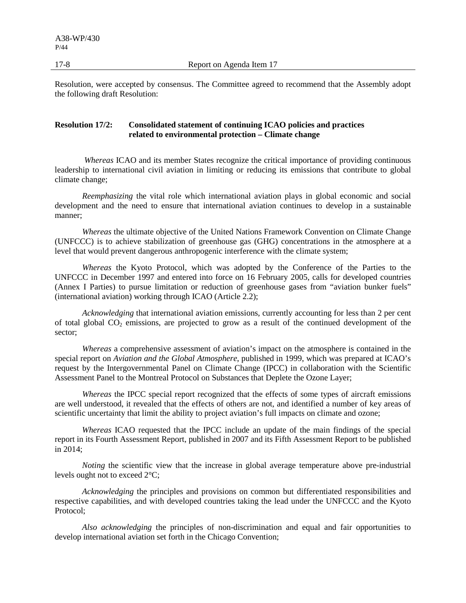17-8 Report on Agenda Item 17

Resolution, were accepted by consensus. The Committee agreed to recommend that the Assembly adopt the following draft Resolution:

## **Resolution 17/2: Consolidated statement of continuing ICAO policies and practices related to environmental protection – Climate change**

*Whereas* ICAO and its member States recognize the critical importance of providing continuous leadership to international civil aviation in limiting or reducing its emissions that contribute to global climate change;

*Reemphasizing* the vital role which international aviation plays in global economic and social development and the need to ensure that international aviation continues to develop in a sustainable manner;

*Whereas* the ultimate objective of the United Nations Framework Convention on Climate Change (UNFCCC) is to achieve stabilization of greenhouse gas (GHG) concentrations in the atmosphere at a level that would prevent dangerous anthropogenic interference with the climate system;

*Whereas* the Kyoto Protocol, which was adopted by the Conference of the Parties to the UNFCCC in December 1997 and entered into force on 16 February 2005, calls for developed countries (Annex I Parties) to pursue limitation or reduction of greenhouse gases from "aviation bunker fuels" (international aviation) working through ICAO (Article 2.2);

*Acknowledging* that international aviation emissions, currently accounting for less than 2 per cent of total global  $CO_2$  emissions, are projected to grow as a result of the continued development of the sector;

*Whereas* a comprehensive assessment of aviation's impact on the atmosphere is contained in the special report on *Aviation and the Global Atmosphere*, published in 1999, which was prepared at ICAO's request by the Intergovernmental Panel on Climate Change (IPCC) in collaboration with the Scientific Assessment Panel to the Montreal Protocol on Substances that Deplete the Ozone Layer;

*Whereas* the IPCC special report recognized that the effects of some types of aircraft emissions are well understood, it revealed that the effects of others are not, and identified a number of key areas of scientific uncertainty that limit the ability to project aviation's full impacts on climate and ozone;

*Whereas* ICAO requested that the IPCC include an update of the main findings of the special report in its Fourth Assessment Report, published in 2007 and its Fifth Assessment Report to be published in 2014;

*Noting* the scientific view that the increase in global average temperature above pre-industrial levels ought not to exceed 2°C;

*Acknowledging* the principles and provisions on common but differentiated responsibilities and respective capabilities, and with developed countries taking the lead under the UNFCCC and the Kyoto Protocol;

*Also acknowledging* the principles of non-discrimination and equal and fair opportunities to develop international aviation set forth in the Chicago Convention;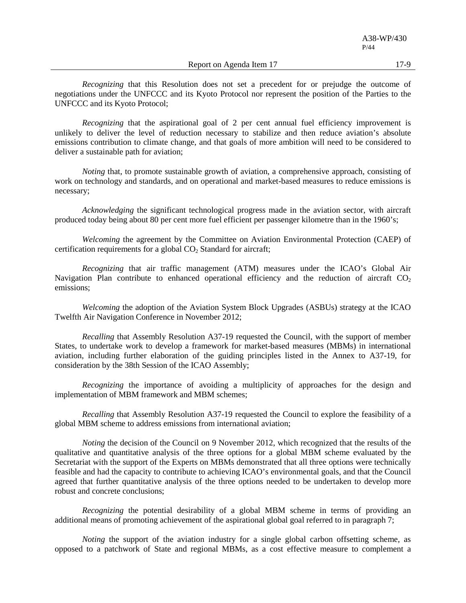Report on Agenda Item 17 17-9

*Recognizing* that this Resolution does not set a precedent for or prejudge the outcome of negotiations under the UNFCCC and its Kyoto Protocol nor represent the position of the Parties to the UNFCCC and its Kyoto Protocol;

*Recognizing* that the aspirational goal of 2 per cent annual fuel efficiency improvement is unlikely to deliver the level of reduction necessary to stabilize and then reduce aviation's absolute emissions contribution to climate change, and that goals of more ambition will need to be considered to deliver a sustainable path for aviation;

*Noting* that, to promote sustainable growth of aviation, a comprehensive approach, consisting of work on technology and standards, and on operational and market-based measures to reduce emissions is necessary;

*Acknowledging* the significant technological progress made in the aviation sector, with aircraft produced today being about 80 per cent more fuel efficient per passenger kilometre than in the 1960's;

*Welcoming* the agreement by the Committee on Aviation Environmental Protection (CAEP) of certification requirements for a global  $CO<sub>2</sub>$  Standard for aircraft;

*Recognizing* that air traffic management (ATM) measures under the ICAO's Global Air Navigation Plan contribute to enhanced operational efficiency and the reduction of aircraft  $CO<sub>2</sub>$ emissions;

*Welcoming* the adoption of the Aviation System Block Upgrades (ASBUs) strategy at the ICAO Twelfth Air Navigation Conference in November 2012;

*Recalling* that Assembly Resolution A37-19 requested the Council, with the support of member States, to undertake work to develop a framework for market-based measures (MBMs) in international aviation, including further elaboration of the guiding principles listed in the Annex to A37-19, for consideration by the 38th Session of the ICAO Assembly;

*Recognizing* the importance of avoiding a multiplicity of approaches for the design and implementation of MBM framework and MBM schemes;

*Recalling* that Assembly Resolution A37-19 requested the Council to explore the feasibility of a global MBM scheme to address emissions from international aviation;

*Noting* the decision of the Council on 9 November 2012, which recognized that the results of the qualitative and quantitative analysis of the three options for a global MBM scheme evaluated by the Secretariat with the support of the Experts on MBMs demonstrated that all three options were technically feasible and had the capacity to contribute to achieving ICAO's environmental goals, and that the Council agreed that further quantitative analysis of the three options needed to be undertaken to develop more robust and concrete conclusions;

*Recognizing* the potential desirability of a global MBM scheme in terms of providing an additional means of promoting achievement of the aspirational global goal referred to in paragraph 7;

*Noting* the support of the aviation industry for a single global carbon offsetting scheme, as opposed to a patchwork of State and regional MBMs, as a cost effective measure to complement a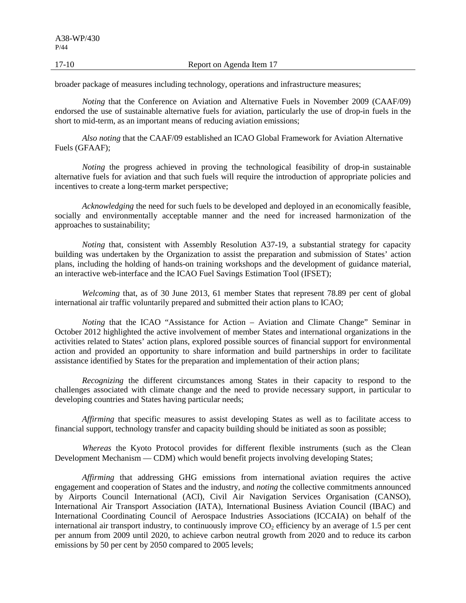17-10 Report on Agenda Item 17

broader package of measures including technology, operations and infrastructure measures;

*Noting* that the Conference on Aviation and Alternative Fuels in November 2009 (CAAF/09) endorsed the use of sustainable alternative fuels for aviation, particularly the use of drop-in fuels in the short to mid-term, as an important means of reducing aviation emissions;

*Also noting* that the CAAF/09 established an ICAO Global Framework for Aviation Alternative Fuels (GFAAF);

*Noting* the progress achieved in proving the technological feasibility of drop-in sustainable alternative fuels for aviation and that such fuels will require the introduction of appropriate policies and incentives to create a long-term market perspective;

*Acknowledging* the need for such fuels to be developed and deployed in an economically feasible, socially and environmentally acceptable manner and the need for increased harmonization of the approaches to sustainability;

*Noting* that, consistent with Assembly Resolution A37-19, a substantial strategy for capacity building was undertaken by the Organization to assist the preparation and submission of States' action plans, including the holding of hands-on training workshops and the development of guidance material, an interactive web-interface and the ICAO Fuel Savings Estimation Tool (IFSET);

*Welcoming* that, as of 30 June 2013, 61 member States that represent 78.89 per cent of global international air traffic voluntarily prepared and submitted their action plans to ICAO;

*Noting* that the ICAO "Assistance for Action – Aviation and Climate Change" Seminar in October 2012 highlighted the active involvement of member States and international organizations in the activities related to States' action plans, explored possible sources of financial support for environmental action and provided an opportunity to share information and build partnerships in order to facilitate assistance identified by States for the preparation and implementation of their action plans;

*Recognizing* the different circumstances among States in their capacity to respond to the challenges associated with climate change and the need to provide necessary support, in particular to developing countries and States having particular needs;

*Affirming* that specific measures to assist developing States as well as to facilitate access to financial support, technology transfer and capacity building should be initiated as soon as possible;

*Whereas* the Kyoto Protocol provides for different flexible instruments (such as the Clean Development Mechanism — CDM) which would benefit projects involving developing States;

*Affirming* that addressing GHG emissions from international aviation requires the active engagement and cooperation of States and the industry, and *noting* the collective commitments announced by Airports Council International (ACI), Civil Air Navigation Services Organisation (CANSO), International Air Transport Association (IATA), International Business Aviation Council (IBAC) and International Coordinating Council of Aerospace Industries Associations (ICCAIA) on behalf of the international air transport industry, to continuously improve  $CO<sub>2</sub>$  efficiency by an average of 1.5 per cent per annum from 2009 until 2020, to achieve carbon neutral growth from 2020 and to reduce its carbon emissions by 50 per cent by 2050 compared to 2005 levels;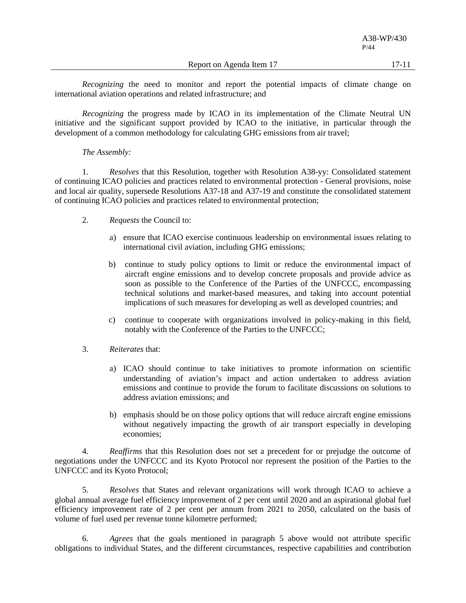Report on Agenda Item 17 17-11

*Recognizing* the need to monitor and report the potential impacts of climate change on international aviation operations and related infrastructure; and

*Recognizing* the progress made by ICAO in its implementation of the Climate Neutral UN initiative and the significant support provided by ICAO to the initiative, in particular through the development of a common methodology for calculating GHG emissions from air travel;

### *The Assembly:*

1. *Resolves* that this Resolution, together with Resolution A38-yy: Consolidated statement of continuing ICAO policies and practices related to environmental protection - General provisions, noise and local air quality, supersede Resolutions A37-18 and A37-19 and constitute the consolidated statement of continuing ICAO policies and practices related to environmental protection;

- 2. *Requests* the Council to:
	- a) ensure that ICAO exercise continuous leadership on environmental issues relating to international civil aviation, including GHG emissions;
	- b) continue to study policy options to limit or reduce the environmental impact of aircraft engine emissions and to develop concrete proposals and provide advice as soon as possible to the Conference of the Parties of the UNFCCC, encompassing technical solutions and market-based measures, and taking into account potential implications of such measures for developing as well as developed countries; and
	- c) continue to cooperate with organizations involved in policy-making in this field, notably with the Conference of the Parties to the UNFCCC;
- 3. *Reiterates* that:
	- a) ICAO should continue to take initiatives to promote information on scientific understanding of aviation's impact and action undertaken to address aviation emissions and continue to provide the forum to facilitate discussions on solutions to address aviation emissions; and
	- b) emphasis should be on those policy options that will reduce aircraft engine emissions without negatively impacting the growth of air transport especially in developing economies;

4. *Reaffirms* that this Resolution does not set a precedent for or prejudge the outcome of negotiations under the UNFCCC and its Kyoto Protocol nor represent the position of the Parties to the UNFCCC and its Kyoto Protocol;

5. *Resolves* that States and relevant organizations will work through ICAO to achieve a global annual average fuel efficiency improvement of 2 per cent until 2020 and an aspirational global fuel efficiency improvement rate of 2 per cent per annum from 2021 to 2050, calculated on the basis of volume of fuel used per revenue tonne kilometre performed;

6. *Agrees* that the goals mentioned in paragraph 5 above would not attribute specific obligations to individual States, and the different circumstances, respective capabilities and contribution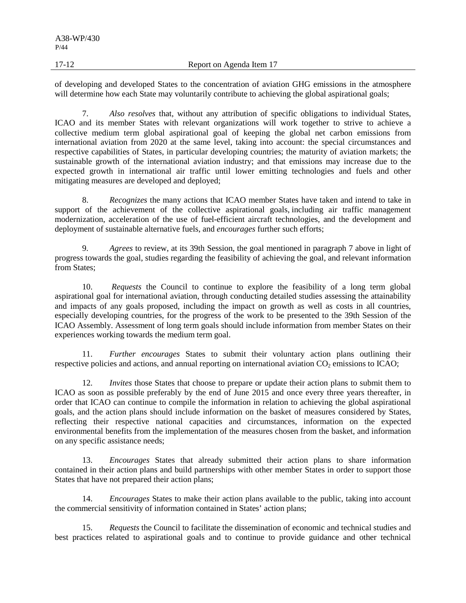17-12 Report on Agenda Item 17

of developing and developed States to the concentration of aviation GHG emissions in the atmosphere will determine how each State may voluntarily contribute to achieving the global aspirational goals;

7. *Also resolves* that, without any attribution of specific obligations to individual States, ICAO and its member States with relevant organizations will work together to strive to achieve a collective medium term global aspirational goal of keeping the global net carbon emissions from international aviation from 2020 at the same level, taking into account: the special circumstances and respective capabilities of States, in particular developing countries; the maturity of aviation markets; the sustainable growth of the international aviation industry; and that emissions may increase due to the expected growth in international air traffic until lower emitting technologies and fuels and other mitigating measures are developed and deployed;

8. *Recognizes* the many actions that ICAO member States have taken and intend to take in support of the achievement of the collective aspirational goals, including air traffic management modernization, acceleration of the use of fuel-efficient aircraft technologies, and the development and deployment of sustainable alternative fuels, and *encourages* further such efforts;

9. *Agrees* to review, at its 39th Session, the goal mentioned in paragraph 7 above in light of progress towards the goal, studies regarding the feasibility of achieving the goal, and relevant information from States;

10. *Requests* the Council to continue to explore the feasibility of a long term global aspirational goal for international aviation, through conducting detailed studies assessing the attainability and impacts of any goals proposed, including the impact on growth as well as costs in all countries, especially developing countries, for the progress of the work to be presented to the 39th Session of the ICAO Assembly. Assessment of long term goals should include information from member States on their experiences working towards the medium term goal.

11. *Further encourages* States to submit their voluntary action plans outlining their respective policies and actions, and annual reporting on international aviation CO<sub>2</sub> emissions to ICAO;

12. *Invites* those States that choose to prepare or update their action plans to submit them to ICAO as soon as possible preferably by the end of June 2015 and once every three years thereafter, in order that ICAO can continue to compile the information in relation to achieving the global aspirational goals, and the action plans should include information on the basket of measures considered by States, reflecting their respective national capacities and circumstances, information on the expected environmental benefits from the implementation of the measures chosen from the basket, and information on any specific assistance needs;

13. *Encourages* States that already submitted their action plans to share information contained in their action plans and build partnerships with other member States in order to support those States that have not prepared their action plans;

14. *Encourages* States to make their action plans available to the public, taking into account the commercial sensitivity of information contained in States' action plans;

15. *Requests* the Council to facilitate the dissemination of economic and technical studies and best practices related to aspirational goals and to continue to provide guidance and other technical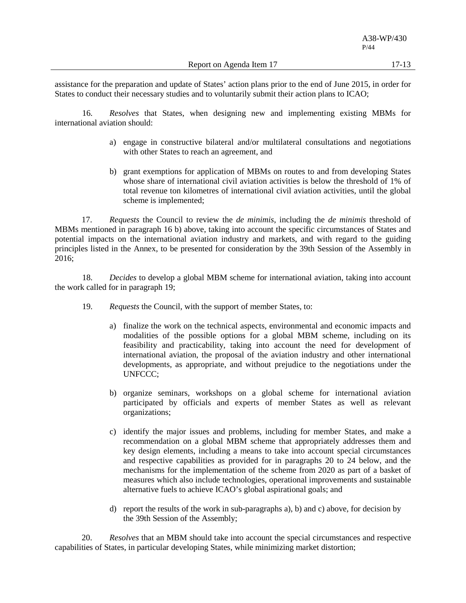assistance for the preparation and update of States' action plans prior to the end of June 2015, in order for States to conduct their necessary studies and to voluntarily submit their action plans to ICAO;

16. *Resolves* that States, when designing new and implementing existing MBMs for international aviation should:

- a) engage in constructive bilateral and/or multilateral consultations and negotiations with other States to reach an agreement, and
- b) grant exemptions for application of MBMs on routes to and from developing States whose share of international civil aviation activities is below the threshold of 1% of total revenue ton kilometres of international civil aviation activities, until the global scheme is implemented;

17. *Requests* the Council to review the *de minimis*, including the *de minimis* threshold of MBMs mentioned in paragraph 16 b) above, taking into account the specific circumstances of States and potential impacts on the international aviation industry and markets, and with regard to the guiding principles listed in the Annex, to be presented for consideration by the 39th Session of the Assembly in 2016;

18. *Decides* to develop a global MBM scheme for international aviation, taking into account the work called for in paragraph 19;

- 19. *Requests* the Council, with the support of member States, to:
	- a) finalize the work on the technical aspects, environmental and economic impacts and modalities of the possible options for a global MBM scheme, including on its feasibility and practicability, taking into account the need for development of international aviation, the proposal of the aviation industry and other international developments, as appropriate, and without prejudice to the negotiations under the UNFCCC;
	- b) organize seminars, workshops on a global scheme for international aviation participated by officials and experts of member States as well as relevant organizations;
	- c) identify the major issues and problems, including for member States, and make a recommendation on a global MBM scheme that appropriately addresses them and key design elements, including a means to take into account special circumstances and respective capabilities as provided for in paragraphs 20 to 24 below, and the mechanisms for the implementation of the scheme from 2020 as part of a basket of measures which also include technologies, operational improvements and sustainable alternative fuels to achieve ICAO's global aspirational goals; and
	- d) report the results of the work in sub-paragraphs a), b) and c) above, for decision by the 39th Session of the Assembly;

20. *Resolves* that an MBM should take into account the special circumstances and respective capabilities of States, in particular developing States, while minimizing market distortion;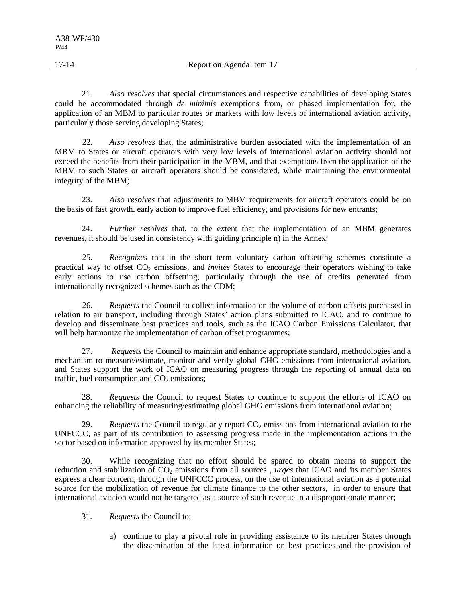21. *Also resolves* that special circumstances and respective capabilities of developing States could be accommodated through *de minimis* exemptions from, or phased implementation for, the application of an MBM to particular routes or markets with low levels of international aviation activity, particularly those serving developing States;

22. *Also resolves* that, the administrative burden associated with the implementation of an MBM to States or aircraft operators with very low levels of international aviation activity should not exceed the benefits from their participation in the MBM, and that exemptions from the application of the MBM to such States or aircraft operators should be considered, while maintaining the environmental integrity of the MBM;

23. *Also resolves* that adjustments to MBM requirements for aircraft operators could be on the basis of fast growth, early action to improve fuel efficiency, and provisions for new entrants;

24. *Further resolves* that, to the extent that the implementation of an MBM generates revenues, it should be used in consistency with guiding principle n) in the Annex;

25. *Recognizes* that in the short term voluntary carbon offsetting schemes constitute a practical way to offset CO<sub>2</sub> emissions, and *invites* States to encourage their operators wishing to take early actions to use carbon offsetting, particularly through the use of credits generated from internationally recognized schemes such as the CDM;

26. *Requests* the Council to collect information on the volume of carbon offsets purchased in relation to air transport, including through States' action plans submitted to ICAO, and to continue to develop and disseminate best practices and tools, such as the ICAO Carbon Emissions Calculator, that will help harmonize the implementation of carbon offset programmes;

27. *Requests* the Council to maintain and enhance appropriate standard, methodologies and a mechanism to measure/estimate, monitor and verify global GHG emissions from international aviation, and States support the work of ICAO on measuring progress through the reporting of annual data on traffic, fuel consumption and  $CO<sub>2</sub>$  emissions;

28. *Requests* the Council to request States to continue to support the efforts of ICAO on enhancing the reliability of measuring/estimating global GHG emissions from international aviation;

29. *Requests* the Council to regularly report  $CO<sub>2</sub>$  emissions from international aviation to the UNFCCC, as part of its contribution to assessing progress made in the implementation actions in the sector based on information approved by its member States;

30. While recognizing that no effort should be spared to obtain means to support the reduction and stabilization of CO<sub>2</sub> emissions from all sources, *urges* that ICAO and its member States express a clear concern, through the UNFCCC process, on the use of international aviation as a potential source for the mobilization of revenue for climate finance to the other sectors, in order to ensure that international aviation would not be targeted as a source of such revenue in a disproportionate manner;

31. *Requests* the Council to:

a) continue to play a pivotal role in providing assistance to its member States through the dissemination of the latest information on best practices and the provision of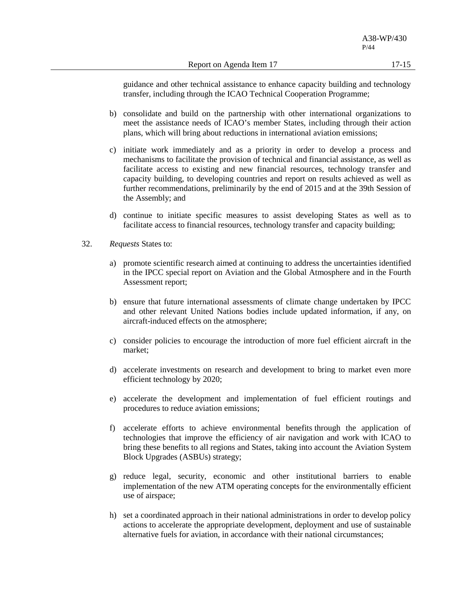guidance and other technical assistance to enhance capacity building and technology transfer, including through the ICAO Technical Cooperation Programme;

- b) consolidate and build on the partnership with other international organizations to meet the assistance needs of ICAO's member States, including through their action plans, which will bring about reductions in international aviation emissions;
- c) initiate work immediately and as a priority in order to develop a process and mechanisms to facilitate the provision of technical and financial assistance, as well as facilitate access to existing and new financial resources, technology transfer and capacity building, to developing countries and report on results achieved as well as further recommendations, preliminarily by the end of 2015 and at the 39th Session of the Assembly; and
- d) continue to initiate specific measures to assist developing States as well as to facilitate access to financial resources, technology transfer and capacity building;
- 32. *Requests* States to:
	- a) promote scientific research aimed at continuing to address the uncertainties identified in the IPCC special report on Aviation and the Global Atmosphere and in the Fourth Assessment report;
	- b) ensure that future international assessments of climate change undertaken by IPCC and other relevant United Nations bodies include updated information, if any, on aircraft-induced effects on the atmosphere;
	- c) consider policies to encourage the introduction of more fuel efficient aircraft in the market;
	- d) accelerate investments on research and development to bring to market even more efficient technology by 2020;
	- e) accelerate the development and implementation of fuel efficient routings and procedures to reduce aviation emissions;
	- f) accelerate efforts to achieve environmental benefits through the application of technologies that improve the efficiency of air navigation and work with ICAO to bring these benefits to all regions and States, taking into account the Aviation System Block Upgrades (ASBUs) strategy;
	- g) reduce legal, security, economic and other institutional barriers to enable implementation of the new ATM operating concepts for the environmentally efficient use of airspace;
	- h) set a coordinated approach in their national administrations in order to develop policy actions to accelerate the appropriate development, deployment and use of sustainable alternative fuels for aviation, in accordance with their national circumstances;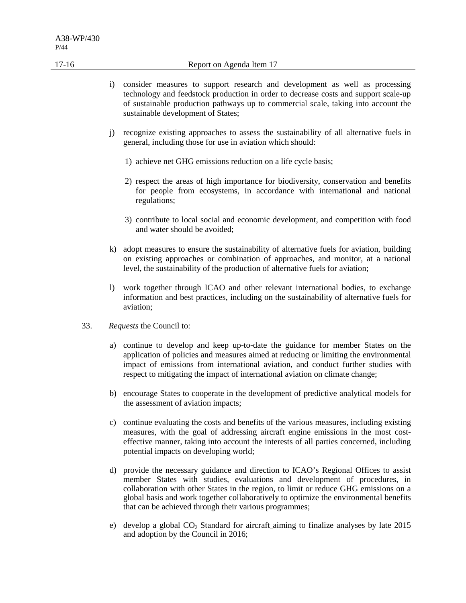- i) consider measures to support research and development as well as processing technology and feedstock production in order to decrease costs and support scale-up of sustainable production pathways up to commercial scale, taking into account the sustainable development of States;
- j) recognize existing approaches to assess the sustainability of all alternative fuels in general, including those for use in aviation which should:
	- 1) achieve net GHG emissions reduction on a life cycle basis;
	- 2) respect the areas of high importance for biodiversity, conservation and benefits for people from ecosystems, in accordance with international and national regulations;
	- 3) contribute to local social and economic development, and competition with food and water should be avoided;
- k) adopt measures to ensure the sustainability of alternative fuels for aviation, building on existing approaches or combination of approaches, and monitor, at a national level, the sustainability of the production of alternative fuels for aviation;
- l) work together through ICAO and other relevant international bodies, to exchange information and best practices, including on the sustainability of alternative fuels for aviation;
- 33. *Requests* the Council to:
	- a) continue to develop and keep up-to-date the guidance for member States on the application of policies and measures aimed at reducing or limiting the environmental impact of emissions from international aviation, and conduct further studies with respect to mitigating the impact of international aviation on climate change;
	- b) encourage States to cooperate in the development of predictive analytical models for the assessment of aviation impacts;
	- c) continue evaluating the costs and benefits of the various measures, including existing measures, with the goal of addressing aircraft engine emissions in the most costeffective manner, taking into account the interests of all parties concerned, including potential impacts on developing world;
	- d) provide the necessary guidance and direction to ICAO's Regional Offices to assist member States with studies, evaluations and development of procedures, in collaboration with other States in the region, to limit or reduce GHG emissions on a global basis and work together collaboratively to optimize the environmental benefits that can be achieved through their various programmes;
	- e) develop a global CO2 Standard for aircraft aiming to finalize analyses by late 2015 and adoption by the Council in 2016;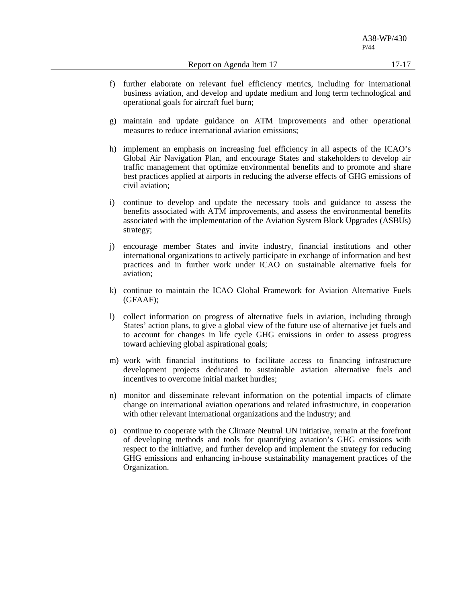A38-WP/430 P/44

- f) further elaborate on relevant fuel efficiency metrics, including for international business aviation, and develop and update medium and long term technological and operational goals for aircraft fuel burn;
- g) maintain and update guidance on ATM improvements and other operational measures to reduce international aviation emissions;
- h) implement an emphasis on increasing fuel efficiency in all aspects of the ICAO's Global Air Navigation Plan, and encourage States and stakeholders to develop air traffic management that optimize environmental benefits and to promote and share best practices applied at airports in reducing the adverse effects of GHG emissions of civil aviation;
- i) continue to develop and update the necessary tools and guidance to assess the benefits associated with ATM improvements, and assess the environmental benefits associated with the implementation of the Aviation System Block Upgrades (ASBUs) strategy;
- j) encourage member States and invite industry, financial institutions and other international organizations to actively participate in exchange of information and best practices and in further work under ICAO on sustainable alternative fuels for aviation;
- k) continue to maintain the ICAO Global Framework for Aviation Alternative Fuels (GFAAF);
- l) collect information on progress of alternative fuels in aviation, including through States' action plans, to give a global view of the future use of alternative jet fuels and to account for changes in life cycle GHG emissions in order to assess progress toward achieving global aspirational goals;
- m) work with financial institutions to facilitate access to financing infrastructure development projects dedicated to sustainable aviation alternative fuels and incentives to overcome initial market hurdles;
- n) monitor and disseminate relevant information on the potential impacts of climate change on international aviation operations and related infrastructure, in cooperation with other relevant international organizations and the industry; and
- o) continue to cooperate with the Climate Neutral UN initiative, remain at the forefront of developing methods and tools for quantifying aviation's GHG emissions with respect to the initiative, and further develop and implement the strategy for reducing GHG emissions and enhancing in-house sustainability management practices of the Organization.